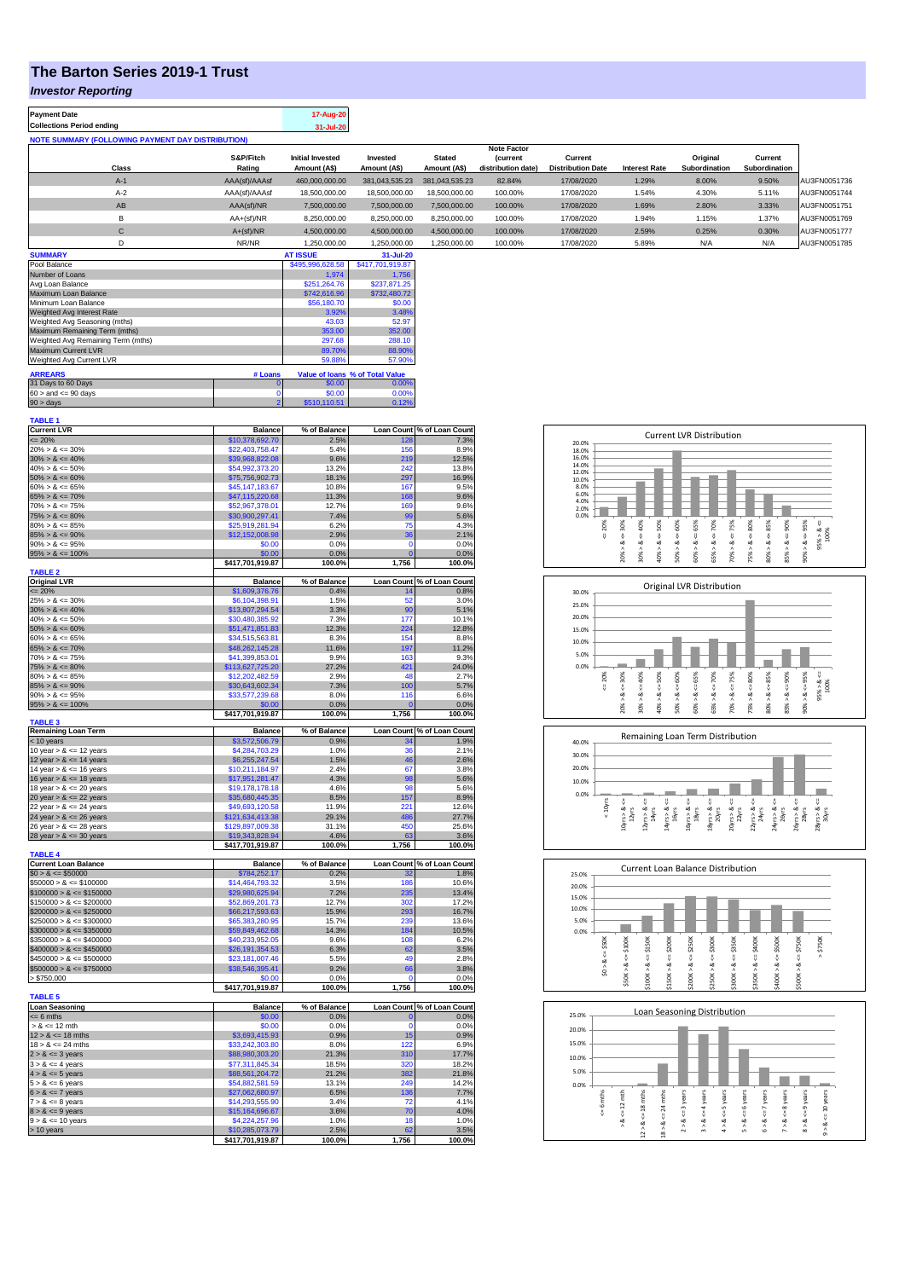## **The Barton Series 2019-1 Trust**

## *Investor Reporting*

| <b>Payment Date</b><br><b>Collections Period ending</b>  |                     | 17-Aug-20<br>31-Jul-20                  |                          |                               |                                                             |                                     |                      |                           |                          |              |
|----------------------------------------------------------|---------------------|-----------------------------------------|--------------------------|-------------------------------|-------------------------------------------------------------|-------------------------------------|----------------------|---------------------------|--------------------------|--------------|
| <b>NOTE SUMMARY (FOLLOWING PAYMENT DAY DISTRIBUTION)</b> |                     |                                         |                          |                               |                                                             |                                     |                      |                           |                          |              |
| Class                                                    | S&P/Fitch<br>Rating | <b>Initial Invested</b><br>Amount (A\$) | Invested<br>Amount (A\$) | <b>Stated</b><br>Amount (A\$) | <b>Note Factor</b><br><b>(current</b><br>distribution date) | Current<br><b>Distribution Date</b> | <b>Interest Rate</b> | Original<br>Subordination | Current<br>Subordination |              |
| $A-1$                                                    | AAA(sf)/AAAsf       | 460,000,000.00                          | 381,043,535.23           | 381,043,535.23                | 82.84%                                                      | 17/08/2020                          | 1.29%                | 8.00%                     | 9.50%                    | AU3FN0051736 |
| $A-2$                                                    | AAA(sf)/AAAsf       | 18,500,000.00                           | 18,500,000.00            | 18,500,000.00                 | 100.00%                                                     | 17/08/2020                          | 1.54%                | 4.30%                     | 5.11%                    | AU3FN0051744 |
| AB                                                       | AAA(sf)/NR          | 7.500.000.00                            | 7.500.000.00             | 7.500.000.00                  | 100.00%                                                     | 17/08/2020                          | 1.69%                | 2.80%                     | 3.33%                    | AU3FN0051751 |
| B                                                        | AA+(sf)/NR          | 8.250.000.00                            | 8,250,000.00             | 8,250,000.00                  | 100.00%                                                     | 17/08/2020                          | 1.94%                | 1.15%                     | 1.37%                    | AU3FN0051769 |
| С                                                        | $A+(sf)/NR$         | 4.500.000.00                            | 4,500,000.00             | 4.500.000.00                  | 100.00%                                                     | 17/08/2020                          | 2.59%                | 0.25%                     | 0.30%                    | AU3FN0051777 |
| D                                                        | NR/NR               | 1.250.000.00                            | 1.250.000.00             | 1.250.000.00                  | 100.00%                                                     | 17/08/2020                          | 5.89%                | N/A                       | N/A                      | AU3FN0051785 |
| <b>SUMMARY</b>                                           |                     | <b>AT ISSUE</b>                         | 31-Jul-20                |                               |                                                             |                                     |                      |                           |                          |              |

| <b>JUITEAN</b>                                               |                  | 81 1330L         | a raurzu     |  |  |
|--------------------------------------------------------------|------------------|------------------|--------------|--|--|
| Pool Balance                                                 | \$495,996,628.58 | \$417,701,919.87 |              |  |  |
| Number of Loans                                              | 1.974            | 1.756            |              |  |  |
| Avg Loan Balance                                             |                  | \$251.264.76     | \$237,871.25 |  |  |
| Maximum Loan Balance                                         | \$742,616.96     | \$732,480.72     |              |  |  |
| Minimum Loan Balance                                         | \$56,180.70      | \$0.00           |              |  |  |
| Weighted Avg Interest Rate                                   | 3.92%            | 3.48%            |              |  |  |
| Weighted Avg Seasoning (mths)                                | 43.03            | 52.97            |              |  |  |
| Maximum Remaining Term (mths)                                | 353.00           | 352.00           |              |  |  |
| Weighted Avg Remaining Term (mths)                           | 297.68           | 288.10           |              |  |  |
| Maximum Current LVR                                          |                  | 89.70%           | 88.90%       |  |  |
| Weighted Avg Current LVR                                     |                  | 59.88%           | 57.90%       |  |  |
| <b>ARREARS</b><br>Value of Ioans % of Total Value<br># Loans |                  |                  |              |  |  |
|                                                              |                  |                  |              |  |  |
| 31 Days to 60 Days                                           |                  | \$0.00           | 0.00%        |  |  |
| $60 >$ and $\leq 90$ days                                    | \$0.00           | 0.00%            |              |  |  |
| $90 >$ days                                                  |                  | \$510,110.51     | 0.12%        |  |  |

| TABLE 1                                      |                                     |                |                |                            |
|----------------------------------------------|-------------------------------------|----------------|----------------|----------------------------|
| <b>Current LVR</b>                           | <b>Balance</b>                      | % of Balance   |                | Loan Count % of Loan Count |
| $= 20%$                                      | \$10,378,692.70                     | 2.5%           | 128            | 7.3%                       |
| $20\% > 8 \le 30\%$                          | \$22,403,758.47                     | 5.4%           | 156            | 8.9%                       |
|                                              |                                     |                |                |                            |
| $30\% > 8 \le 40\%$                          | \$39,968,822.08                     | 9.6%           | 219            | 12.5%                      |
| $40\% > 8 \le 50\%$                          | \$54,992,373.20                     | 13.2%          | 242            | 13.8%                      |
| $50\% > 8 \le 60\%$                          | \$75,756,902.73                     | 18.1%          | 297            | 16.9%                      |
| $60\% > 8 \le 65\%$                          | \$45,147,183.67                     | 10.8%          | 167            | 9.5%                       |
| $65\% > 8 \le 70\%$                          | \$47,115,220.68                     | 11.3%          | 168            | 9.6%                       |
|                                              |                                     | 12.7%          | 169            | 9.6%                       |
| $70\% > 8 \le 75\%$                          | \$52,967,378.01                     |                |                |                            |
| $75\% > 8 \le 80\%$                          | \$30,900,297.41                     | 7.4%           | 99             | 5.6%                       |
| $80\% > 8 \le 85\%$                          | \$25,919,281.94                     | 6.2%           | 75             | 4.3%                       |
| $85\% > 8 \le 90\%$                          | \$12,152,008.98                     | 2.9%           | 36             | 2.1%                       |
| $90\% > 8 \le 95\%$                          | \$0.00                              | 0.0%           | $\mathbf 0$    | 0.0%                       |
|                                              |                                     |                |                |                            |
| $95\% > 8 \le 100\%$                         | \$0.00                              | 0.0%           | $\overline{0}$ | 0.0%                       |
|                                              | \$417,701,919.87                    | 100.0%         | 1,756          | 100.0%                     |
| <b>TABLE 2</b>                               |                                     |                |                |                            |
| <b>Original LVR</b>                          | <b>Balance</b>                      | % of Balance   |                | Loan Count % of Loan Count |
| $\leq$ 20%                                   | \$1,609,376.76                      | 0.4%           | 14             | 0.8%                       |
| $25\% > 8 \le 30\%$                          | \$6,104,398.91                      | 1.5%           | 52             | 3.0%                       |
|                                              |                                     |                |                |                            |
| $30\% > 8 \le 40\%$                          | \$13,807,294.54                     | 3.3%           | 90             | 5.1%                       |
| $40\% > 8 \le 50\%$                          | \$30,480,385.92                     | 7.3%           | 177            | 10.1%                      |
| $50\% > 8 \le 60\%$                          | \$51,471,851.83                     | 12.3%          | 224            | 12.8%                      |
| $60\% > 8 \le 65\%$                          | \$34,515,563.81                     | 8.3%           | 154            | 8.8%                       |
| $65\% > 8 \le 70\%$                          | \$48,262,145.28                     | 11.6%          | 197            | 11.2%                      |
|                                              |                                     |                |                |                            |
| $70\% > 8 \le 75\%$                          | \$41,399,853.01                     | 9.9%           | 163            | 9.3%                       |
| $75\% > 8 \le 80\%$                          | \$113,627,725.20                    | 27.2%          | 421            | 24.0%                      |
| $80\% > 8 \le 85\%$                          | \$12,202,482.59                     | 2.9%           | 48             | 2.7%                       |
| $85\% > 8 \le 90\%$                          | \$30,643,602.34                     | 7.3%           | 100            | 5.7%                       |
|                                              |                                     | 8.0%           |                | 6.6%                       |
| $90\% > 8 \le 95\%$                          | \$33,577,239.68                     |                | 116            |                            |
| $95\% > 8 \le 100\%$                         | \$0.00                              | 0.0%           | $\overline{0}$ | 0.0%                       |
|                                              | \$417,701,919.87                    | 100.0%         | 1,756          | 100.0%                     |
| <b>TABLE 3</b>                               |                                     |                |                |                            |
| <b>Remaining Loan Term</b>                   | <b>Balance</b>                      | % of Balance   |                | Loan Count % of Loan Count |
| < 10 years                                   | \$3,572,506.79                      | 0.9%           | ٩۵             | 1.9%                       |
| 10 year $> 8 \le 12$ years                   | \$4,284,703.29                      | 1.0%           | 36             | 2.1%                       |
|                                              |                                     |                |                |                            |
| 12 year $> 8 \le 14$ years                   | \$6,255,247.54                      | 1.5%           | 46             | 2.6%                       |
| 14 year $> 8 \le 16$ years                   | \$10,211,184.97                     | 2.4%           | 67             | 3.8%                       |
|                                              |                                     |                |                |                            |
|                                              |                                     |                |                |                            |
| 16 year $> 8 \le 18$ years                   | \$17,951,281.47                     | 4.3%           | 98             | 5.6%                       |
| 18 year $> 8 \le 20$ years                   | \$19,178,178.18                     | 4.6%           | 98             | 5.6%                       |
| 20 year $> 8 < 22$ years                     | \$35,680,445.35                     | 8.5%           | 157            | 8.9%                       |
| 22 year $> 8 \le 24$ years                   | \$49,693,120.58                     | 11.9%          | 221            | 12.6%                      |
| 24 year $> 8 \le 26$ years                   | \$121,634,413.38                    | 29.1%          | 486            | 27.7%                      |
|                                              |                                     |                | 450            |                            |
| 26 year $> 8 \le 28$ years                   | \$129,897,009.38                    | 31.1%          |                | 25.6%                      |
|                                              | \$19,343,828.94                     | 4.6%           | 63             | 3.6%                       |
|                                              | \$417,701,919.87                    | 100.0%         | 1,756          | 100.0%                     |
| 28 year $> 8 \le 30$ years<br><b>TABLE 4</b> |                                     |                |                |                            |
| <b>Current Loan Balance</b>                  | <b>Balance</b>                      | % of Balance   |                | Loan Count % of Loan Count |
|                                              |                                     | 0.2%           | 32             |                            |
| $$0 > 8 \le $50000$                          | \$784,252.17                        |                |                | 1.8%                       |
| $$50000 > 8 \le $100000$                     | \$14,464,793.32                     | 3.5%           | 186            | 10.6%                      |
| $$100000 > 8 \le $150000$                    | \$29,980,625.94                     | 7.2%           | 235            | 13.4%                      |
| $$150000 > 8 \le $200000$                    | \$52,869,201.73                     | 12.7%          | 302            | 17.2%                      |
| $$200000 > 8 \le $250000$                    | \$66,217,593.63                     | 15.9%          | 293            | 16.7%                      |
| $$250000 > 8 \le $300000$                    | \$65,383,280.95                     | 15.7%          | 239            | 13.6%                      |
|                                              |                                     |                |                |                            |
| $$300000 > 8 \leq $350000$                   | \$59,849,462.68                     | 14.3%          | 184            | 10.5%                      |
| $$350000 > 8 \leq $400000$                   | \$40,233,952.05                     | 9.6%           | 108            | 6.2%                       |
| $$400000 > 8 \le $450000$                    | \$26,191,354.53                     | 6.3%           | 62             | 3.5%                       |
| $$450000 > 8 \le $500000$                    | \$23,181,007.46                     | 5.5%           | 49             | 2.8%                       |
|                                              |                                     |                |                |                            |
| $$500000 > 8 \le $750000$                    | \$38,546,395.41                     | 9.2%           | 66             | 3.8%                       |
| > \$750,000                                  | \$0.00                              | 0.0%           | C              | 0.0%                       |
|                                              | \$417,701,919.87                    | 100.0%         | 1,756          | 100.0%                     |
|                                              |                                     |                |                |                            |
| <b>TABLE 5</b><br>Loan Seasoning             | <b>Balance</b>                      | % of Balance   |                | Loan Count % of Loan Count |
|                                              |                                     |                |                |                            |
| $= 6$ mths                                   | \$0.00                              | 0.0%           | $\mathbf 0$    | 0.0%                       |
| $> 8 \le 12$ mth                             | \$0.00                              | 0.0%           | O              | 0.0%                       |
| $12 > 8 \le 18$ mths                         | \$3,693,415.93                      | 0.9%           | 15             | 0.9%                       |
| $18 > 8 \le 24$ mths                         | \$33,242,303.80                     | 8.0%           | 122            | 6.9%                       |
| $2 > 8 \le 3$ years                          | \$88,980,303.20                     | 21.3%          | 310            | 17.7%                      |
|                                              |                                     | 18.5%          | 320            | 18.2%                      |
| $3 > 8 \leq 4$ years                         | \$77,311,845.34                     |                |                |                            |
| $4 > 8 \le 5$ years                          | \$88,561,204.72                     | 21.2%          | 382            | 21.8%                      |
| $5 > 8 \le 6$ years                          | \$54,882,581.59                     | 13.1%          | 249            | 14.2%                      |
| $6 > 8 \le 7$ years                          | \$27,062,680.97                     | 6.5%           | 136            | 7.7%                       |
| $7 > 8 \le 8$ years                          | \$14,293,555.90                     | 3.4%           | 72             | 4.1%                       |
|                                              |                                     |                |                |                            |
| $8 > 8 \le 9$ years                          | \$15,164,696.67                     | 3.6%           | 70             | 4.0%                       |
| $9 > 8 \le 10$ years                         | \$4,224,257.96                      | 1.0%           | 18             | 1.0%                       |
| > 10 years                                   | \$10,285,073.79<br>\$417,701,919.87 | 2.5%<br>100.0% | 1,756          | 3.5%<br>100.0%             |

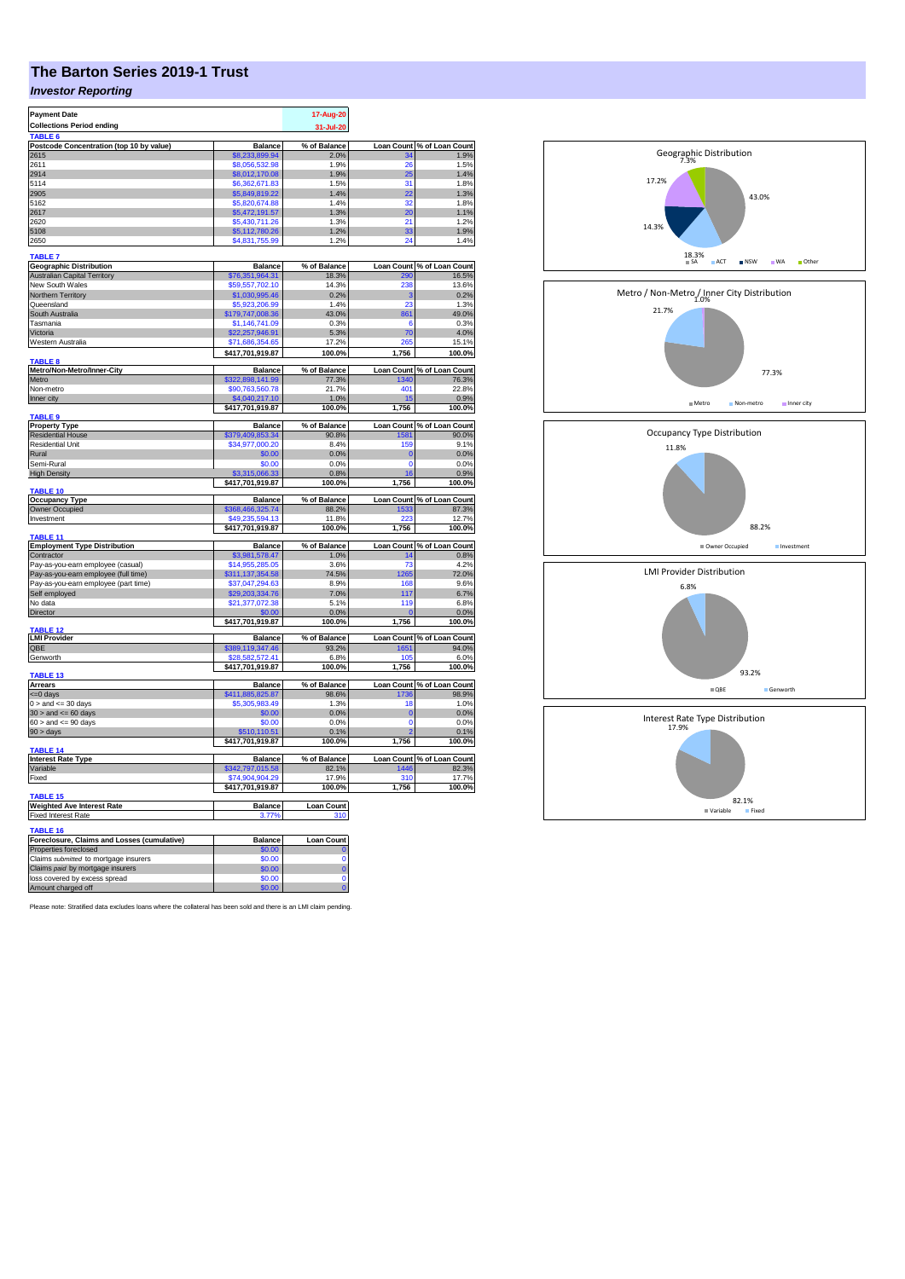## **The Barton Series 2019-1 Trust**

## *Investor Reporting*

| <b>Payment Date</b><br><b>Collections Period ending</b><br><b>TABLE 6</b> |                                    | 17-Aug-20<br>31-Jul-20 |             |                                     |
|---------------------------------------------------------------------------|------------------------------------|------------------------|-------------|-------------------------------------|
| Postcode Concentration (top 10 by value)                                  | <b>Balance</b>                     | % of Balance           |             | Loan Count % of Loan Count          |
| 2615                                                                      | 68,233,899.94                      | 2.0%                   |             | 1.9%                                |
| 2611                                                                      | \$8,056,532.98                     | 1.9%                   | 26          | 1.5%                                |
| 2914                                                                      | \$8,012,170.08                     | 1.9%                   | 25          | 1.4%                                |
| 5114                                                                      | \$6,362,671.83                     | 1.5%                   | 31          | 1.8%                                |
| 2905                                                                      | \$5,849,819.22                     | 1.4%                   | 22          | 1.3%                                |
| 5162                                                                      | \$5,820,674.88                     | 1.4%                   | 32          | 1.8%                                |
| 2617                                                                      | \$5,472,191.57                     | 1.3%                   | 20          | 1.1%                                |
| 2620                                                                      | \$5,430,711.26                     | 1.3%                   | 21          | 1.2%                                |
| 5108                                                                      | \$5,112,780.26                     | 1.2%                   | 33          | 1.9%                                |
| 2650                                                                      | \$4,831,755.99                     | 1.2%                   | 24          | 1.4%                                |
| <b>TABLE 7</b>                                                            |                                    |                        |             |                                     |
| <b>Geographic Distribution</b>                                            | <b>Balance</b>                     | % of Balance           |             | Loan Count % of Loan Count          |
| <b>Australian Capital Territory</b>                                       | \$76,351,964.31                    | 18.3%                  | 290         | 16.5%                               |
| New South Wales                                                           | \$59,557,702.10                    | 14.3%                  | 238         | 13.6%                               |
| Northern Territory                                                        | \$1,030,995.46                     | 0.2%                   | 3           | 0.2%                                |
| Queensland                                                                | \$5,923,206.99                     | 1.4%                   | 23          | 1.3%                                |
| South Australia                                                           | \$179,747,008.36                   | 43.0%                  | 861         | 49.0%                               |
| Tasmania                                                                  | \$1,146,741.09                     | 0.3%                   | 6           | 0.3%                                |
| Victoria                                                                  | \$22,257,946.91                    | 5.3%                   | 70          | 4.0%                                |
| Western Australia                                                         | \$71,686,354.65                    | 17.2%                  | 265         | 15.1%                               |
|                                                                           | \$417,701,919.87                   | 100.0%                 | 1,756       | 100.0%                              |
| <b>TABLE 8</b>                                                            |                                    |                        |             |                                     |
| Metro/Non-Metro/Inner-City<br>Metro                                       | <b>Balance</b><br>\$322.898.141.99 | % of Balance<br>77.3%  | 1340        | Loan Count % of Loan Count<br>76.3% |
| Non-metro                                                                 | \$90,763,560.78                    | 21.7%                  | 401         | 22.8%                               |
| Inner city                                                                | \$4,040,217.10                     | 1.0%                   | 15          | 0.9%                                |
|                                                                           | \$417,701,919.87                   | 100.0%                 | 1.756       | 100.0%                              |
| TABLE 9                                                                   |                                    |                        |             |                                     |
| <b>Property Type</b>                                                      | <b>Balance</b>                     | % of Balance           |             | Loan Count % of Loan Count          |
| <b>Residential House</b>                                                  | \$379,409,853.34                   | 90.8%                  | 1581        | 90.0%                               |
| <b>Residential Unit</b>                                                   | \$34,977,000.20                    | 8.4%                   | <b>159</b>  | 9.1%                                |
| Rural                                                                     | \$0.00                             | 0.0%                   | 0           | 0.0%                                |
| Semi-Rural                                                                | \$0.00                             | 0.0%                   | $\mathbf 0$ | 0.0%                                |
| <b>High Density</b>                                                       | \$3,315,066.33                     | 0.8%                   | 16          | 0.9%                                |
|                                                                           | \$417,701,919.87                   | 100.0%                 | 1,756       | 100.0%                              |
| TABLE 10                                                                  |                                    |                        |             | Loan Count % of Loan Count          |
| <b>Occupancy Type</b><br><b>Owner Occupied</b>                            | <b>Balance</b><br>\$368,466,325.74 | % of Balance<br>88.2%  |             | 87.3%                               |
| Investment                                                                | \$49,235,594.13                    | 11.8%                  | 1533        | 12.7%                               |
|                                                                           | \$417,701,919.87                   | 100.0%                 | 1,756       | 100.0%                              |
| TABLE 11                                                                  |                                    |                        |             |                                     |
| <b>Employment Type Distribution</b>                                       | Balance                            | % of Balance           |             | Loan Count % of Loan Count          |
| Contractor                                                                | \$3,981,578.47                     | 1.0%                   | 14          | 0.8%                                |
| Pay-as-you-earn employee (casual)                                         | \$14,955,285.05                    | 3.6%                   | 73          | 4.2%                                |
| Pay-as-you-earn employee (full time)                                      | \$311,137,354.58                   | 74.5%                  | 1265        | 72.0%                               |
| Pay-as-you-earn employee (part time)                                      | \$37,047,294.63                    | 8.9%                   | 168         | 9.6%                                |
| Self employed                                                             | \$29,203,334.76                    | 7.0%                   | 117         | 6.7%                                |
| No data                                                                   | \$21,377,072.38                    | 5.1%                   | 119         | 6.8%                                |
| Director                                                                  |                                    | 0.0%                   |             | 0.0%                                |
|                                                                           | \$417,701,919.87                   | 100.0%                 | 1,756       | 100.0%                              |
| <b>TABLE 12</b><br><b>LMI Provider</b>                                    | <b>Balance</b>                     |                        |             |                                     |
| OBE                                                                       | \$389,119,347.46                   | % of Balance<br>93.2%  | 1651        | Loan Count % of Loan Count<br>94.0% |
| Genworth                                                                  | \$28,582,572.41                    | 6.8%                   | 105         | 6.0%                                |
|                                                                           | \$417,701,919.87                   | 100.0%                 | 1,756       | 100.0%                              |
| <b>TABLE 13</b>                                                           |                                    |                        |             |                                     |
| <b>Arrears</b>                                                            | <b>Balance</b>                     | % of Balance           |             | Loan Count % of Loan Count          |
| <= 0 days                                                                 | 411.885.825.87                     | 98.6%                  | 1736        | 98.9%                               |
| $0 >$ and $\leq$ 30 days                                                  | \$5,305,983.49                     | 1.3%                   | 18          | 1.0%                                |
| $30 >$ and $\leq 60$ days                                                 | \$0.00                             | 0.0%                   | $\bf{0}$    | 0.0%                                |
| $60 >$ and $\leq 90$ days                                                 | \$0.00                             | 0.0%                   | $\Omega$    | 0.0%                                |
| $90 > \text{days}$                                                        | \$510,110.51                       | 0.1%                   |             | 0.1%                                |
|                                                                           | \$417,701,919.87                   | 100.0%                 | 1,756       | 100.0%                              |
| TABLE 14                                                                  |                                    |                        |             |                                     |
| <b>Interest Rate Type</b>                                                 | <b>Balance</b>                     | % of Balance           |             | Loan Count % of Loan Count          |
| Variable                                                                  | \$342,797,015.58                   | 82.1%                  | 1446        | 82.3%                               |
| Fixed                                                                     | \$74,904,904.29                    | 17.9%                  | 310         | 17.7%                               |
| <b>TABLE 15</b>                                                           | \$417,701,919.87                   | 100.0%                 | 1,756       | 100.0%                              |
| <b>Weighted Ave Interest Rate</b>                                         | <b>Balance</b>                     | <b>Loan Count</b>      |             |                                     |
| <b>Fixed Interest Rate</b>                                                | 3.77%                              | 310                    |             |                                     |
|                                                                           |                                    |                        |             |                                     |
| TABLE 16                                                                  |                                    |                        |             |                                     |
| Foreclosure, Claims and Losses (cumulative)                               | <b>Balance</b>                     | <b>Loan Count</b>      |             |                                     |
| Properties foreclosed                                                     | \$0.00                             |                        |             |                                     |
| Claims submitted to mortgage insurers                                     | \$0.00                             | $\Omega$               |             |                                     |
| Claims paid by mortgage insurers                                          | \$0.00                             | $\bf{0}$               |             |                                     |
| loss covered by excess spread                                             | \$0.00                             | $\Omega$               |             |                                     |
| Amount charged off                                                        | \$0.00                             |                        |             |                                     |

Please note: Stratified data excludes loans where the collateral has been sold and there is an LMI claim pending.